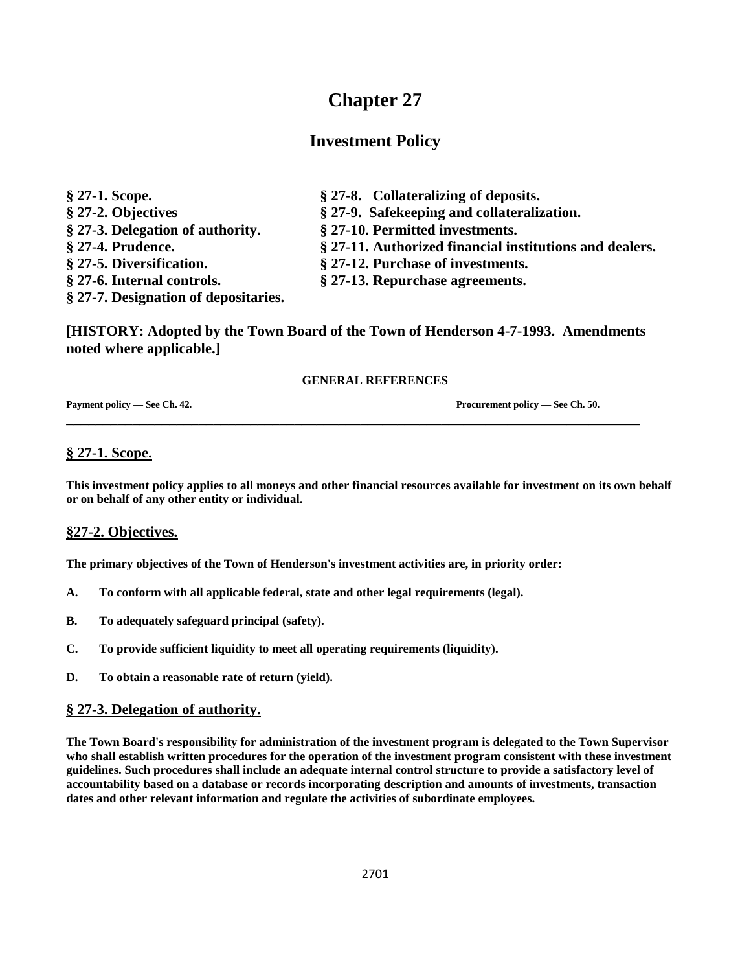# **Chapter 27**

## **Investment Policy**

| $§$ 27-1. Scope.                     | § 27-8. Collateralizing of deposits.                    |
|--------------------------------------|---------------------------------------------------------|
| § 27-2. Objectives                   | § 27-9. Safekeeping and collateralization.              |
| § 27-3. Delegation of authority.     | § 27-10. Permitted investments.                         |
| § 27-4. Prudence.                    | § 27-11. Authorized financial institutions and dealers. |
| § 27-5. Diversification.             | § 27-12. Purchase of investments.                       |
| § 27-6. Internal controls.           | § 27-13. Repurchase agreements.                         |
| § 27-7. Designation of depositaries. |                                                         |

**[HISTORY: Adopted by the Town Board of the Town of Henderson 4-7-1993. Amendments noted where applicable.]**

**\_\_\_\_\_\_\_\_\_\_\_\_\_\_\_\_\_\_\_\_\_\_\_\_\_\_\_\_\_\_\_\_\_\_\_\_\_\_\_\_\_\_\_\_\_\_\_\_\_\_\_\_\_\_\_\_\_\_\_\_\_\_\_\_\_\_\_\_\_\_\_\_\_\_\_\_\_\_**

#### **GENERAL REFERENCES**

**Payment policy — See Ch. 42. Procurement policy — See Ch. 50.**

## **§ 27-1. Scope.**

**This investment policy applies to all moneys and other financial resources available for investment on its own behalf or on behalf of any other entity or individual.**

## **§27-2. Objectives.**

**The primary objectives of the Town of Henderson's investment activities are, in priority order:**

- **A. To conform with all applicable federal, state and other legal requirements (legal).**
- **B. To adequately safeguard principal (safety).**
- **C. To provide sufficient liquidity to meet all operating requirements (liquidity).**
- **D. To obtain a reasonable rate of return (yield).**

#### **§ 27-3. Delegation of authority.**

**The Town Board's responsibility for administration of the investment program is delegated to the Town Supervisor who shall establish written procedures for the operation of the investment program consistent with these investment guidelines. Such procedures shall include an adequate internal control structure to provide a satisfactory level of accountability based on a database or records incorporating description and amounts of investments, transaction dates and other relevant information and regulate the activities of subordinate employees.**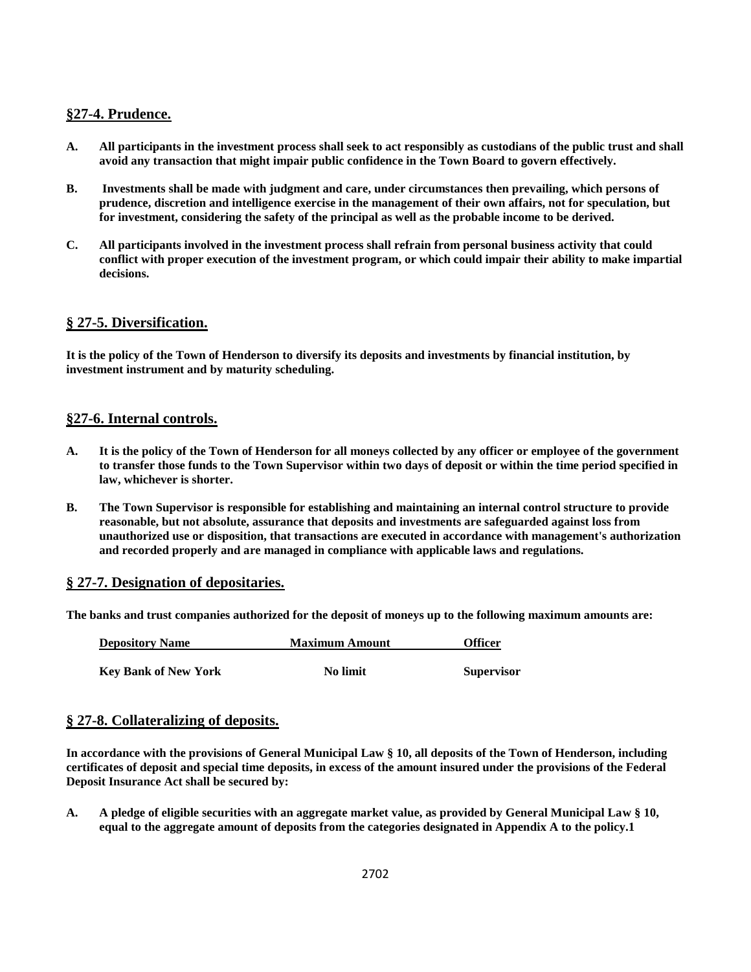#### **§27-4. Prudence.**

- **A. All participants in the investment process shall seek to act responsibly as custodians of the public trust and shall avoid any transaction that might impair public confidence in the Town Board to govern effectively.**
- **B. Investments shall be made with judgment and care, under circumstances then prevailing, which persons of prudence, discretion and intelligence exercise in the management of their own affairs, not for speculation, but for investment, considering the safety of the principal as well as the probable income to be derived.**
- **C. All participants involved in the investment process shall refrain from personal business activity that could conflict with proper execution of the investment program, or which could impair their ability to make impartial decisions.**

#### **§ 27-5. Diversification.**

**It is the policy of the Town of Henderson to diversify its deposits and investments by financial institution, by investment instrument and by maturity scheduling.**

#### **§27-6. Internal controls.**

- **A. It is the policy of the Town of Henderson for all moneys collected by any officer or employee of the government to transfer those funds to the Town Supervisor within two days of deposit or within the time period specified in law, whichever is shorter.**
- **B. The Town Supervisor is responsible for establishing and maintaining an internal control structure to provide reasonable, but not absolute, assurance that deposits and investments are safeguarded against loss from unauthorized use or disposition, that transactions are executed in accordance with management's authorization and recorded properly and are managed in compliance with applicable laws and regulations.**

#### **§ 27-7. Designation of depositaries.**

**The banks and trust companies authorized for the deposit of moneys up to the following maximum amounts are:**

| <b>Depository Name</b>      | <b>Maximum Amount</b> | <b>Officer</b>    |
|-----------------------------|-----------------------|-------------------|
| <b>Key Bank of New York</b> | <b>No limit</b>       | <b>Supervisor</b> |

#### **§ 27-8. Collateralizing of deposits.**

**In accordance with the provisions of General Municipal Law § 10, all deposits of the Town of Henderson, including certificates of deposit and special time deposits, in excess of the amount insured under the provisions of the Federal Deposit Insurance Act shall be secured by:**

**A. A pledge of eligible securities with an aggregate market value, as provided by General Municipal Law § 10, equal to the aggregate amount of deposits from the categories designated in Appendix A to the policy.1**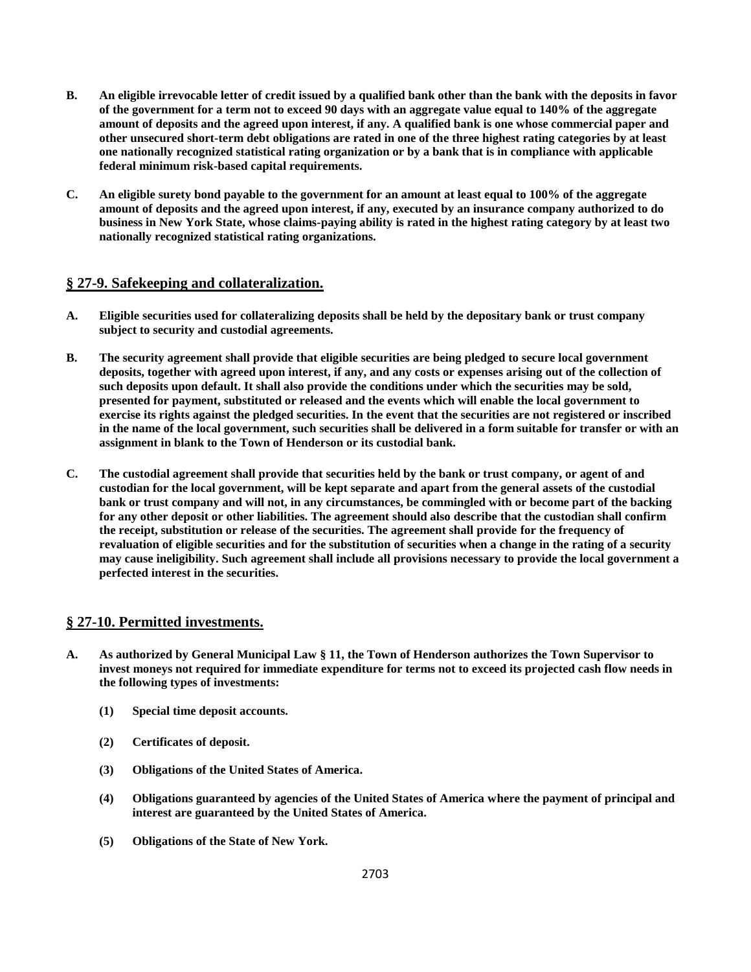- **B. An eligible irrevocable letter of credit issued by a qualified bank other than the bank with the deposits in favor of the government for a term not to exceed 90 days with an aggregate value equal to 140% of the aggregate amount of deposits and the agreed upon interest, if any. A qualified bank is one whose commercial paper and other unsecured short-term debt obligations are rated in one of the three highest rating categories by at least one nationally recognized statistical rating organization or by a bank that is in compliance with applicable federal minimum risk-based capital requirements.**
- **C. An eligible surety bond payable to the government for an amount at least equal to 100% of the aggregate amount of deposits and the agreed upon interest, if any, executed by an insurance company authorized to do business in New York State, whose claims-paying ability is rated in the highest rating category by at least two nationally recognized statistical rating organizations.**

#### **§ 27-9. Safekeeping and collateralization.**

- **A. Eligible securities used for collateralizing deposits shall be held by the depositary bank or trust company subject to security and custodial agreements.**
- **B. The security agreement shall provide that eligible securities are being pledged to secure local government deposits, together with agreed upon interest, if any, and any costs or expenses arising out of the collection of such deposits upon default. It shall also provide the conditions under which the securities may be sold, presented for payment, substituted or released and the events which will enable the local government to exercise its rights against the pledged securities. In the event that the securities are not registered or inscribed in the name of the local government, such securities shall be delivered in a form suitable for transfer or with an assignment in blank to the Town of Henderson or its custodial bank.**
- **C. The custodial agreement shall provide that securities held by the bank or trust company, or agent of and custodian for the local government, will be kept separate and apart from the general assets of the custodial bank or trust company and will not, in any circumstances, be commingled with or become part of the backing for any other deposit or other liabilities. The agreement should also describe that the custodian shall confirm the receipt, substitution or release of the securities. The agreement shall provide for the frequency of revaluation of eligible securities and for the substitution of securities when a change in the rating of a security may cause ineligibility. Such agreement shall include all provisions necessary to provide the local government a perfected interest in the securities.**

#### **§ 27-10. Permitted investments.**

- **A. As authorized by General Municipal Law § 11, the Town of Henderson authorizes the Town Supervisor to invest moneys not required for immediate expenditure for terms not to exceed its projected cash flow needs in the following types of investments:**
	- **(1) Special time deposit accounts.**
	- **(2) Certificates of deposit.**
	- **(3) Obligations of the United States of America.**
	- **(4) Obligations guaranteed by agencies of the United States of America where the payment of principal and interest are guaranteed by the United States of America.**
	- **(5) Obligations of the State of New York.**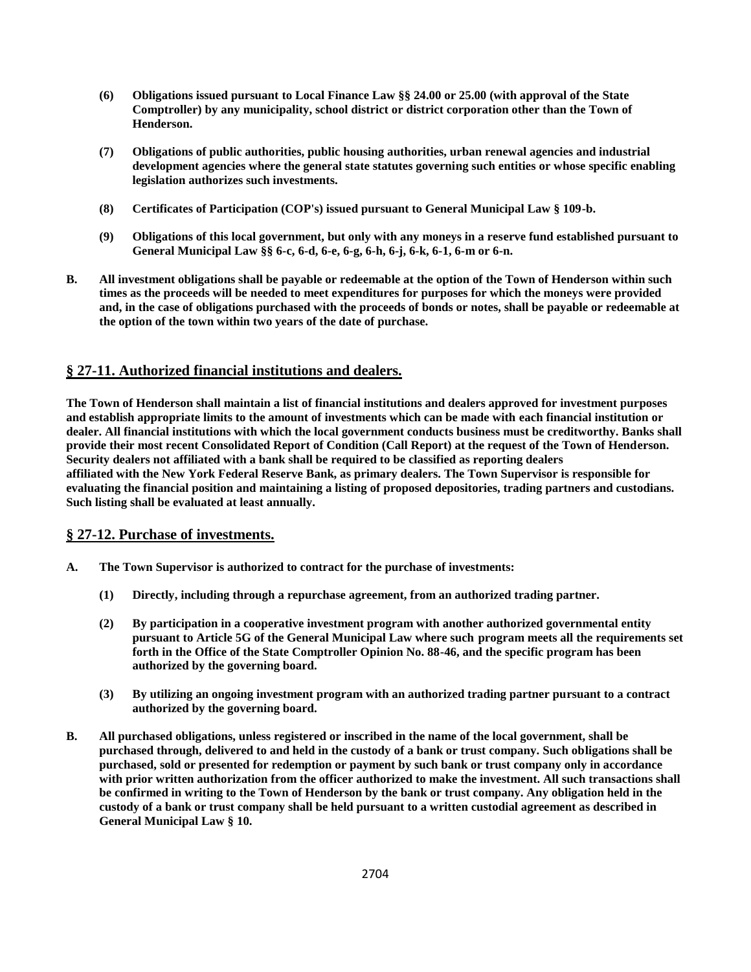- **(6) Obligations issued pursuant to Local Finance Law §§ 24.00 or 25.00 (with approval of the State Comptroller) by any municipality, school district or district corporation other than the Town of Henderson.**
- **(7) Obligations of public authorities, public housing authorities, urban renewal agencies and industrial development agencies where the general state statutes governing such entities or whose specific enabling legislation authorizes such investments.**
- **(8) Certificates of Participation (COP's) issued pursuant to General Municipal Law § 109-b.**
- **(9) Obligations of this local government, but only with any moneys in a reserve fund established pursuant to General Municipal Law §§ 6-c, 6-d, 6-e, 6-g, 6-h, 6-j, 6-k, 6-1, 6-m or 6-n.**
- **B. All investment obligations shall be payable or redeemable at the option of the Town of Henderson within such times as the proceeds will be needed to meet expenditures for purposes for which the moneys were provided and, in the case of obligations purchased with the proceeds of bonds or notes, shall be payable or redeemable at the option of the town within two years of the date of purchase.**

## **§ 27-11. Authorized financial institutions and dealers.**

**The Town of Henderson shall maintain a list of financial institutions and dealers approved for investment purposes and establish appropriate limits to the amount of investments which can be made with each financial institution or dealer. All financial institutions with which the local government conducts business must be creditworthy. Banks shall provide their most recent Consolidated Report of Condition (Call Report) at the request of the Town of Henderson. Security dealers not affiliated with a bank shall be required to be classified as reporting dealers affiliated with the New York Federal Reserve Bank, as primary dealers. The Town Supervisor is responsible for evaluating the financial position and maintaining a listing of proposed depositories, trading partners and custodians. Such listing shall be evaluated at least annually.**

## **§ 27-12. Purchase of investments.**

- **A. The Town Supervisor is authorized to contract for the purchase of investments:**
	- **(1) Directly, including through a repurchase agreement, from an authorized trading partner.**
	- **(2) By participation in a cooperative investment program with another authorized governmental entity pursuant to Article 5G of the General Municipal Law where such program meets all the requirements set forth in the Office of the State Comptroller Opinion No. 88-46, and the specific program has been authorized by the governing board.**
	- **(3) By utilizing an ongoing investment program with an authorized trading partner pursuant to a contract authorized by the governing board.**
- **B. All purchased obligations, unless registered or inscribed in the name of the local government, shall be purchased through, delivered to and held in the custody of a bank or trust company. Such obligations shall be purchased, sold or presented for redemption or payment by such bank or trust company only in accordance with prior written authorization from the officer authorized to make the investment. All such transactions shall be confirmed in writing to the Town of Henderson by the bank or trust company. Any obligation held in the custody of a bank or trust company shall be held pursuant to a written custodial agreement as described in General Municipal Law § 10.**